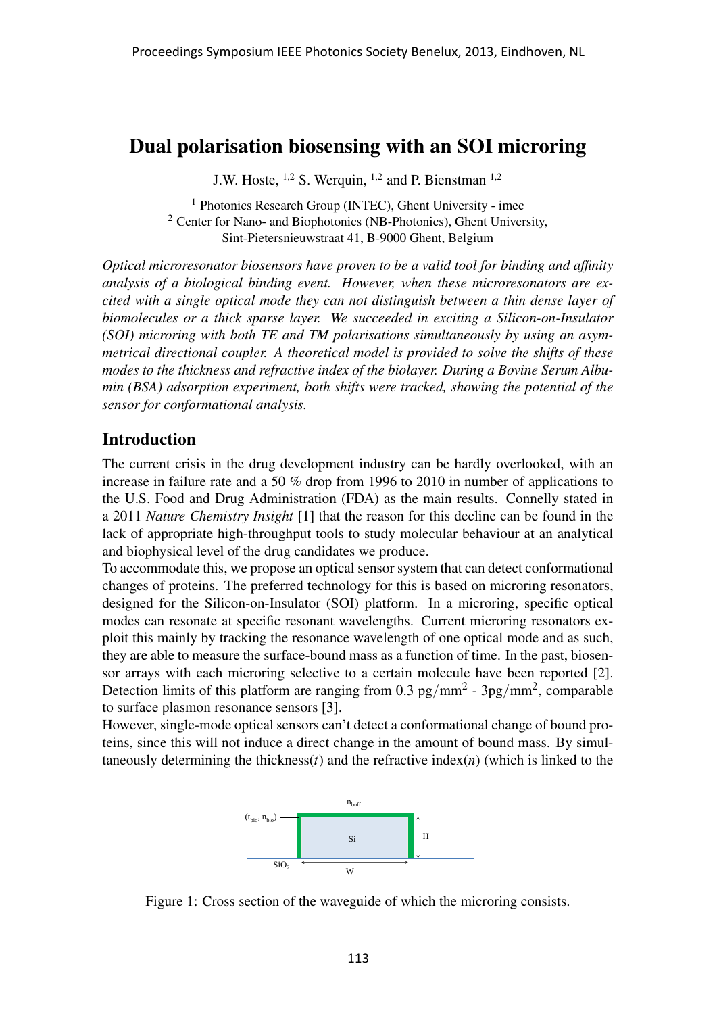# Dual polarisation biosensing with an SOI microring

J.W. Hoste,  $^{1,2}$  S. Werquin,  $^{1,2}$  and P. Bienstman  $^{1,2}$ 

<sup>1</sup> Photonics Research Group (INTEC), Ghent University - imec <sup>2</sup> Center for Nano- and Biophotonics (NB-Photonics), Ghent University, Sint-Pietersnieuwstraat 41, B-9000 Ghent, Belgium

*Optical microresonator biosensors have proven to be a valid tool for binding and affinity analysis of a biological binding event. However, when these microresonators are excited with a single optical mode they can not distinguish between a thin dense layer of biomolecules or a thick sparse layer. We succeeded in exciting a Silicon-on-Insulator (SOI) microring with both TE and TM polarisations simultaneously by using an asymmetrical directional coupler. A theoretical model is provided to solve the shifts of these modes to the thickness and refractive index of the biolayer. During a Bovine Serum Albumin (BSA) adsorption experiment, both shifts were tracked, showing the potential of the sensor for conformational analysis.*

### Introduction

The current crisis in the drug development industry can be hardly overlooked, with an increase in failure rate and a 50 % drop from 1996 to 2010 in number of applications to the U.S. Food and Drug Administration (FDA) as the main results. Connelly stated in a 2011 *Nature Chemistry Insight* [1] that the reason for this decline can be found in the lack of appropriate high-throughput tools to study molecular behaviour at an analytical and biophysical level of the drug candidates we produce.

To accommodate this, we propose an optical sensor system that can detect conformational changes of proteins. The preferred technology for this is based on microring resonators, designed for the Silicon-on-Insulator (SOI) platform. In a microring, specific optical modes can resonate at specific resonant wavelengths. Current microring resonators exploit this mainly by tracking the resonance wavelength of one optical mode and as such, they are able to measure the surface-bound mass as a function of time. In the past, biosensor arrays with each microring selective to a certain molecule have been reported [2]. Detection limits of this platform are ranging from 0.3 pg/mm<sup>2</sup> - 3pg/mm<sup>2</sup>, comparable to surface plasmon resonance sensors [3].

However, single-mode optical sensors can't detect a conformational change of bound proteins, since this will not induce a direct change in the amount of bound mass. By simultaneously determining the thickness( $t$ ) and the refractive index( $n$ ) (which is linked to the



Figure 1: Cross section of the waveguide of which the microring consists.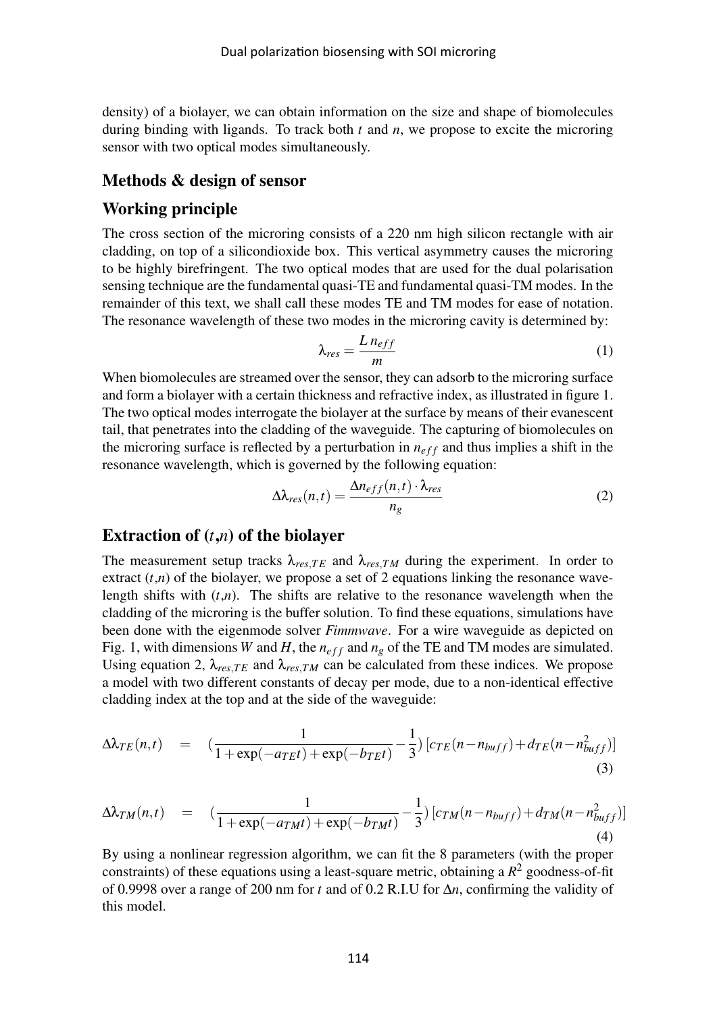density) of a biolayer, we can obtain information on the size and shape of biomolecules during binding with ligands. To track both *t* and *n*, we propose to excite the microring sensor with two optical modes simultaneously.

### Methods & design of sensor

### Working principle

The cross section of the microring consists of a 220 nm high silicon rectangle with air cladding, on top of a silicondioxide box. This vertical asymmetry causes the microring to be highly birefringent. The two optical modes that are used for the dual polarisation sensing technique are the fundamental quasi-TE and fundamental quasi-TM modes. In the remainder of this text, we shall call these modes TE and TM modes for ease of notation. The resonance wavelength of these two modes in the microring cavity is determined by:

$$
\lambda_{res} = \frac{L n_{eff}}{m} \tag{1}
$$

When biomolecules are streamed over the sensor, they can adsorb to the microring surface and form a biolayer with a certain thickness and refractive index, as illustrated in figure 1. The two optical modes interrogate the biolayer at the surface by means of their evanescent tail, that penetrates into the cladding of the waveguide. The capturing of biomolecules on the microring surface is reflected by a perturbation in  $n_{eff}$  and thus implies a shift in the resonance wavelength, which is governed by the following equation:

$$
\Delta \lambda_{res}(n,t) = \frac{\Delta n_{eff}(n,t) \cdot \lambda_{res}}{n_g} \tag{2}
$$

# Extraction of (*t*,*n*) of the biolayer

The measurement setup tracks  $\lambda_{res,TE}$  and  $\lambda_{res,TM}$  during the experiment. In order to extract  $(t,n)$  of the biolayer, we propose a set of 2 equations linking the resonance wavelength shifts with  $(t,n)$ . The shifts are relative to the resonance wavelength when the cladding of the microring is the buffer solution. To find these equations, simulations have been done with the eigenmode solver *Fimmwave*. For a wire waveguide as depicted on Fig. 1, with dimensions *W* and *H*, the  $n_{eff}$  and  $n_g$  of the TE and TM modes are simulated. Using equation 2,  $\lambda_{res,TE}$  and  $\lambda_{res,TM}$  can be calculated from these indices. We propose a model with two different constants of decay per mode, due to a non-identical effective cladding index at the top and at the side of the waveguide:

$$
\Delta \lambda_{TE}(n,t) = \left( \frac{1}{1 + \exp(-a_{TE}t) + \exp(-b_{TE}t)} - \frac{1}{3} \right) \left[ c_{TE}(n - n_{buff}) + d_{TE}(n - n_{buff}^2) \right] \tag{3}
$$

$$
\Delta \lambda_{TM}(n,t) = \left( \frac{1}{1 + \exp(-a_{TM}t) + \exp(-b_{TM}t)} - \frac{1}{3} \right) \left[ c_{TM}(n - n_{buff}) + d_{TM}(n - n_{buff}^2) \right] \tag{4}
$$

By using a nonlinear regression algorithm, we can fit the 8 parameters (with the proper constraints) of these equations using a least-square metric, obtaining a *R* <sup>2</sup> goodness-of-fit of 0.9998 over a range of 200 nm for *t* and of 0.2 R.I.U for ∆*n*, confirming the validity of this model.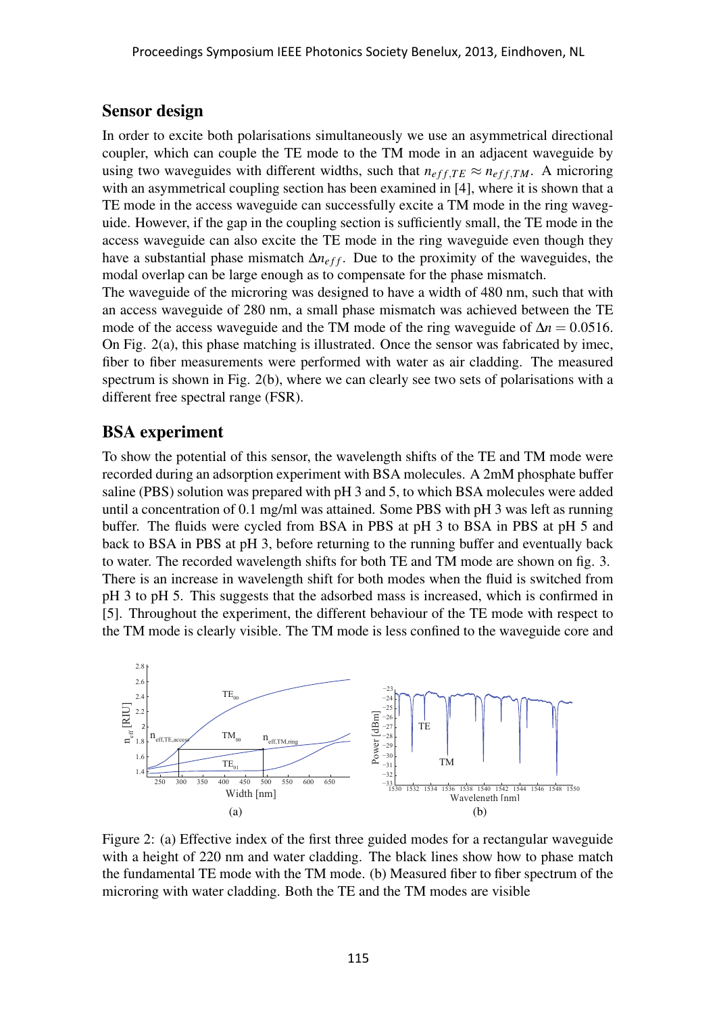#### Sensor design

In order to excite both polarisations simultaneously we use an asymmetrical directional coupler, which can couple the TE mode to the TM mode in an adjacent waveguide by using two waveguides with different widths, such that  $n_{eff,TE} \approx n_{eff,TM}$ . A microring with an asymmetrical coupling section has been examined in [4], where it is shown that a TE mode in the access waveguide can successfully excite a TM mode in the ring waveguide. However, if the gap in the coupling section is sufficiently small, the TE mode in the access waveguide can also excite the TE mode in the ring waveguide even though they have a substantial phase mismatch Δ*n<sub>eff</sub>*. Due to the proximity of the waveguides, the modal overlap can be large enough as to compensate for the phase mismatch.

The waveguide of the microring was designed to have a width of 480 nm, such that with an access waveguide of 280 nm, a small phase mismatch was achieved between the TE mode of the access waveguide and the TM mode of the ring waveguide of  $\Delta n = 0.0516$ . On Fig. 2(a), this phase matching is illustrated. Once the sensor was fabricated by imec, fiber to fiber measurements were performed with water as air cladding. The measured spectrum is shown in Fig. 2(b), where we can clearly see two sets of polarisations with a different free spectral range (FSR).

## BSA experiment

To show the potential of this sensor, the wavelength shifts of the TE and TM mode were recorded during an adsorption experiment with BSA molecules. A 2mM phosphate buffer saline (PBS) solution was prepared with pH 3 and 5, to which BSA molecules were added until a concentration of 0.1 mg/ml was attained. Some PBS with pH 3 was left as running buffer. The fluids were cycled from BSA in PBS at pH 3 to BSA in PBS at pH 5 and back to BSA in PBS at pH 3, before returning to the running buffer and eventually back to water. The recorded wavelength shifts for both TE and TM mode are shown on fig. 3. There is an increase in wavelength shift for both modes when the fluid is switched from pH 3 to pH 5. This suggests that the adsorbed mass is increased, which is confirmed in [5]. Throughout the experiment, the different behaviour of the TE mode with respect to the TM mode is clearly visible. The TM mode is less confined to the waveguide core and



Figure 2: (a) Effective index of the first three guided modes for a rectangular waveguide with a height of 220 nm and water cladding. The black lines show how to phase match the fundamental TE mode with the TM mode. (b) Measured fiber to fiber spectrum of the microring with water cladding. Both the TE and the TM modes are visible